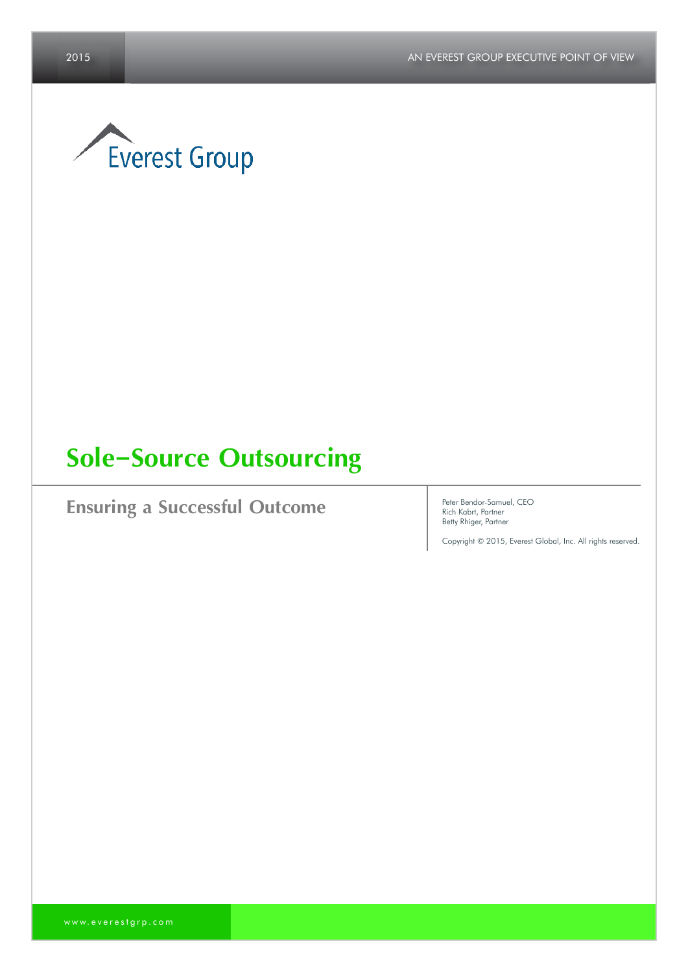

# **Sole-Source Outsourcing**

**Ensuring a Successful Outcome** Peter Bendor-Samuel, CEO

Rich Kabrt, Partner Betty Rhiger, Partner

Copyright © 2015, Everest Global, Inc. All rights reserved.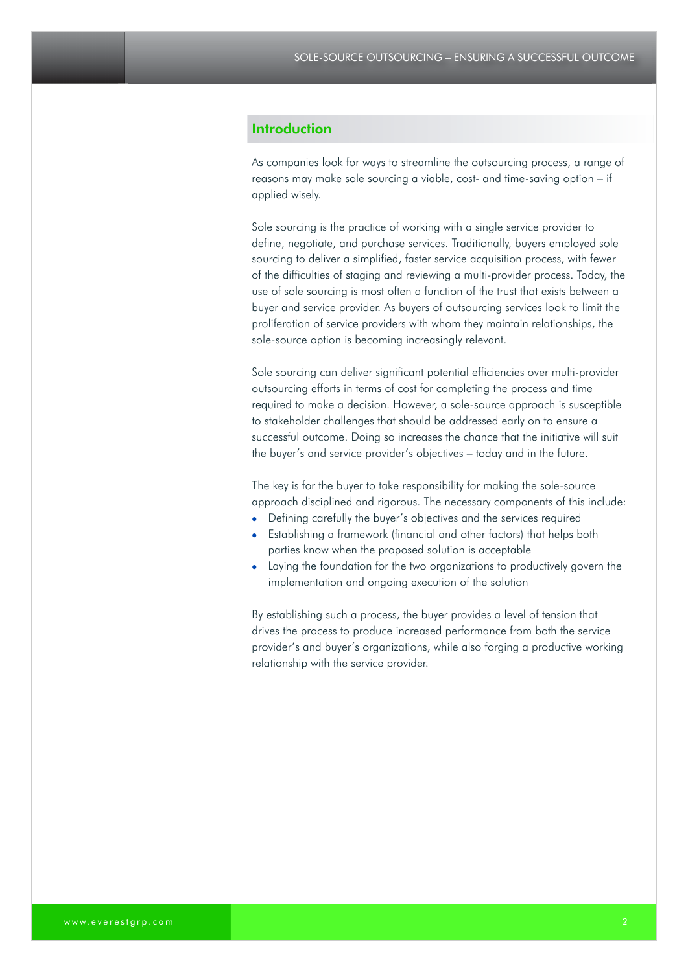# **Introduction**

As companies look for ways to streamline the outsourcing process, a range of reasons may make sole sourcing a viable, cost- and time-saving option – if applied wisely.

Sole sourcing is the practice of working with a single service provider to define, negotiate, and purchase services. Traditionally, buyers employed sole sourcing to deliver a simplified, faster service acquisition process, with fewer of the difficulties of staging and reviewing a multi-provider process. Today, the use of sole sourcing is most often a function of the trust that exists between a buyer and service provider. As buyers of outsourcing services look to limit the proliferation of service providers with whom they maintain relationships, the sole-source option is becoming increasingly relevant.

Sole sourcing can deliver significant potential efficiencies over multi-provider outsourcing efforts in terms of cost for completing the process and time required to make a decision. However, a sole-source approach is susceptible to stakeholder challenges that should be addressed early on to ensure a successful outcome. Doing so increases the chance that the initiative will suit the buyer's and service provider's objectives – today and in the future.

The key is for the buyer to take responsibility for making the sole-source approach disciplined and rigorous. The necessary components of this include:

- Defining carefully the buyer's objectives and the services required
- Establishing a framework (financial and other factors) that helps both parties know when the proposed solution is acceptable
- Laying the foundation for the two organizations to productively govern the implementation and ongoing execution of the solution

By establishing such a process, the buyer provides a level of tension that drives the process to produce increased performance from both the service provider's and buyer's organizations, while also forging a productive working relationship with the service provider.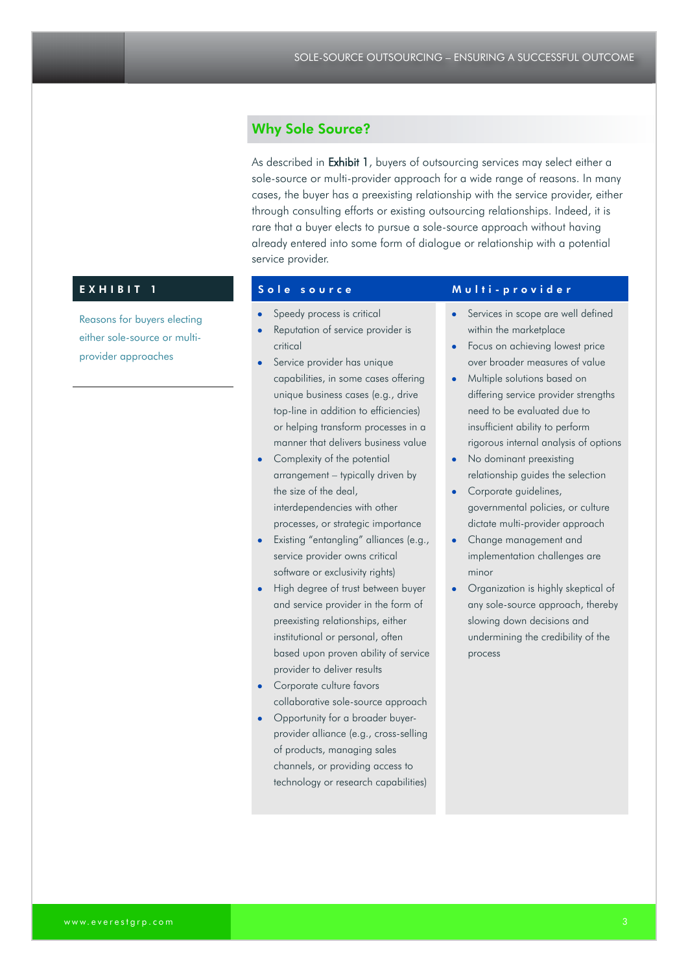# Why Sole Source?

As described in Exhibit 1, buyers of outsourcing services may select either a sole-source or multi-provider approach for a wide range of reasons. In many cases, the buyer has a preexisting relationship with the service provider, either through consulting efforts or existing outsourcing relationships. Indeed, it is rare that a buyer elects to pursue a sole-source approach without having already entered into some form of dialogue or relationship with a potential service provider.

Reasons for buyers electing either sole-source or multiprovider approaches

- Speedy process is critical
- Reputation of service provider is critical
- Service provider has unique capabilities, in some cases offering unique business cases (e.g., drive top-line in addition to efficiencies) or helping transform processes in a manner that delivers business value
- Complexity of the potential arrangement – typically driven by the size of the deal, interdependencies with other processes, or strategic importance
- Existing "entangling" alliances (e.g., service provider owns critical software or exclusivity rights)
- High degree of trust between buyer and service provider in the form of preexisting relationships, either institutional or personal, often based upon proven ability of service provider to deliver results
- **Corporate culture favors** collaborative sole-source approach
- Opportunity for a broader buyerprovider alliance (e.g., cross-selling of products, managing sales channels, or providing access to technology or research capabilities)

# EXHIBIT 1 Sole source Multi-provider

- Services in scope are well defined within the marketplace
- Focus on achieving lowest price over broader measures of value
- Multiple solutions based on differing service provider strengths need to be evaluated due to insufficient ability to perform rigorous internal analysis of options
- No dominant preexisting relationship guides the selection
- Corporate guidelines, governmental policies, or culture dictate multi-provider approach
- Change management and implementation challenges are minor
- Organization is highly skeptical of any sole-source approach, thereby slowing down decisions and undermining the credibility of the process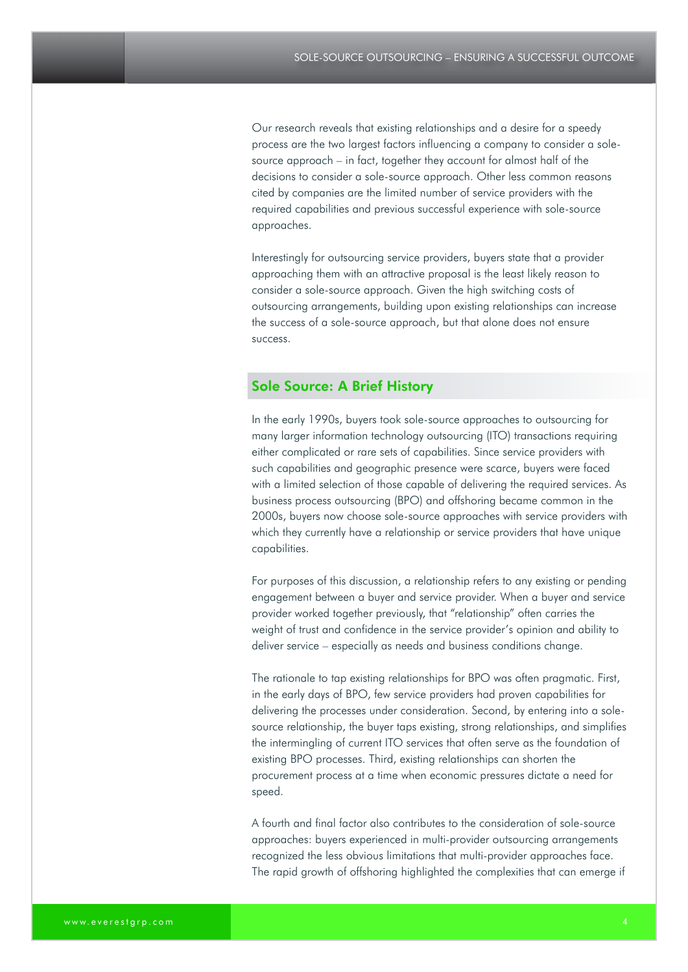Our research reveals that existing relationships and a desire for a speedy process are the two largest factors influencing a company to consider a solesource approach – in fact, together they account for almost half of the decisions to consider a sole-source approach. Other less common reasons cited by companies are the limited number of service providers with the required capabilities and previous successful experience with sole-source approaches.

Interestingly for outsourcing service providers, buyers state that a provider approaching them with an attractive proposal is the least likely reason to consider a sole-source approach. Given the high switching costs of outsourcing arrangements, building upon existing relationships can increase the success of a sole-source approach, but that alone does not ensure success.

### Sole Source: A Brief History

In the early 1990s, buyers took sole-source approaches to outsourcing for many larger information technology outsourcing (ITO) transactions requiring either complicated or rare sets of capabilities. Since service providers with such capabilities and geographic presence were scarce, buyers were faced with a limited selection of those capable of delivering the required services. As business process outsourcing (BPO) and offshoring became common in the 2000s, buyers now choose sole-source approaches with service providers with which they currently have a relationship or service providers that have unique capabilities.

For purposes of this discussion, a relationship refers to any existing or pending engagement between a buyer and service provider. When a buyer and service provider worked together previously, that "relationship" often carries the weight of trust and confidence in the service provider's opinion and ability to deliver service – especially as needs and business conditions change.

The rationale to tap existing relationships for BPO was often pragmatic. First, in the early days of BPO, few service providers had proven capabilities for delivering the processes under consideration. Second, by entering into a solesource relationship, the buyer taps existing, strong relationships, and simplifies the intermingling of current ITO services that often serve as the foundation of existing BPO processes. Third, existing relationships can shorten the procurement process at a time when economic pressures dictate a need for speed.

A fourth and final factor also contributes to the consideration of sole-source approaches: buyers experienced in multi-provider outsourcing arrangements recognized the less obvious limitations that multi-provider approaches face. The rapid growth of offshoring highlighted the complexities that can emerge if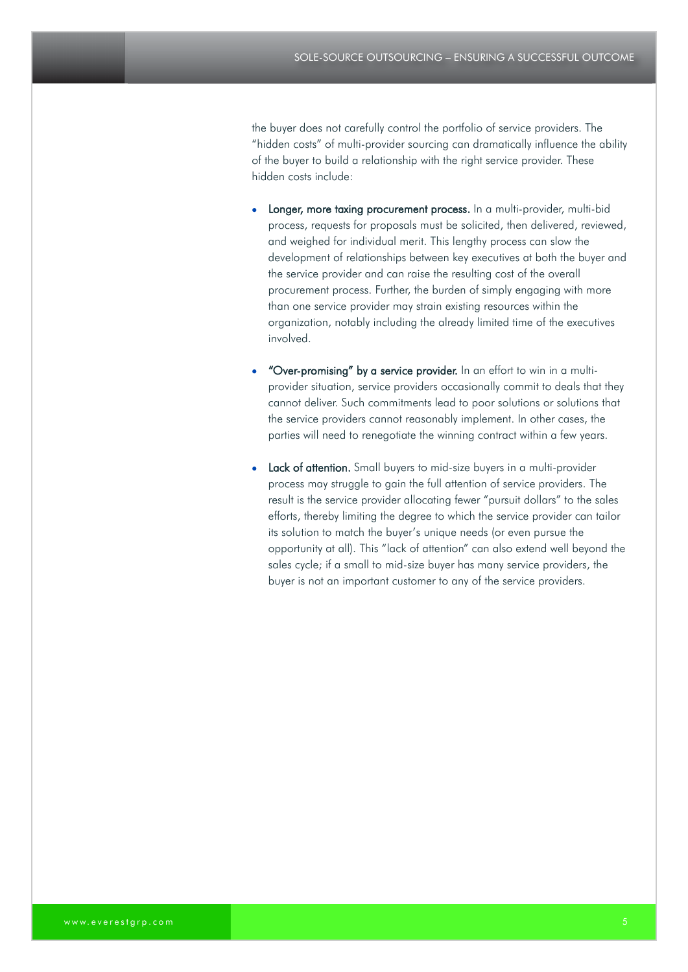the buyer does not carefully control the portfolio of service providers. The "hidden costs" of multi-provider sourcing can dramatically influence the ability of the buyer to build a relationship with the right service provider. These hidden costs include:

- Longer, more taxing procurement process. In a multi-provider, multi-bid process, requests for proposals must be solicited, then delivered, reviewed, and weighed for individual merit. This lengthy process can slow the development of relationships between key executives at both the buyer and the service provider and can raise the resulting cost of the overall procurement process. Further, the burden of simply engaging with more than one service provider may strain existing resources within the organization, notably including the already limited time of the executives involved.
- "Over-promising" by a service provider. In an effort to win in a multiprovider situation, service providers occasionally commit to deals that they cannot deliver. Such commitments lead to poor solutions or solutions that the service providers cannot reasonably implement. In other cases, the parties will need to renegotiate the winning contract within a few years.
- Lack of attention. Small buyers to mid-size buyers in a multi-provider process may struggle to gain the full attention of service providers. The result is the service provider allocating fewer "pursuit dollars" to the sales efforts, thereby limiting the degree to which the service provider can tailor its solution to match the buyer's unique needs (or even pursue the opportunity at all). This "lack of attention" can also extend well beyond the sales cycle; if a small to mid-size buyer has many service providers, the buyer is not an important customer to any of the service providers.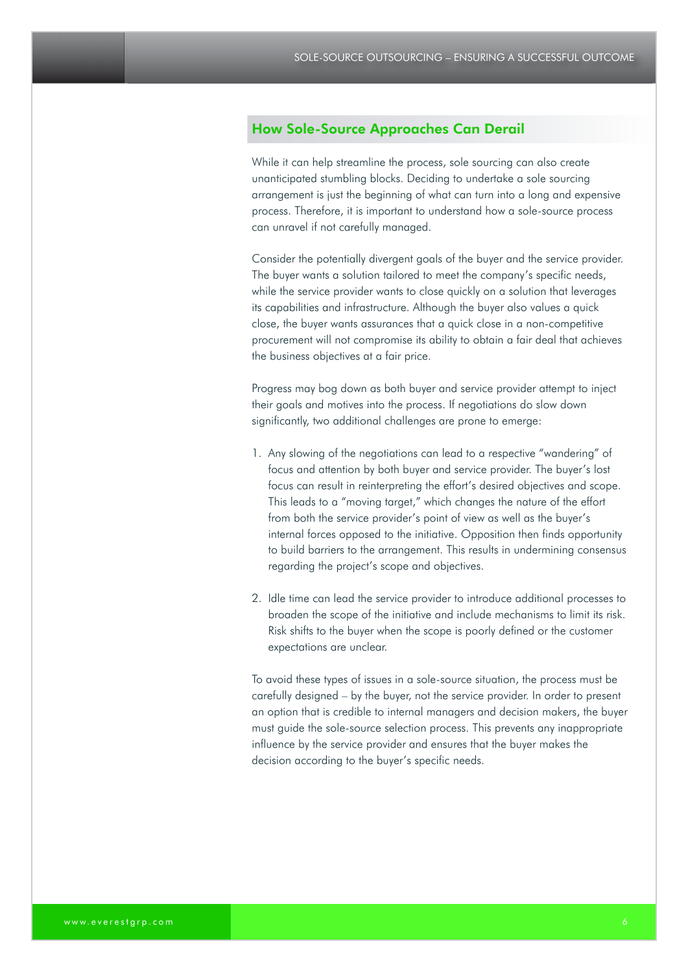# How Sole-Source Approaches Can Derail

While it can help streamline the process, sole sourcing can also create unanticipated stumbling blocks. Deciding to undertake a sole sourcing arrangement is just the beginning of what can turn into a long and expensive process. Therefore, it is important to understand how a sole-source process can unravel if not carefully managed.

Consider the potentially divergent goals of the buyer and the service provider. The buyer wants a solution tailored to meet the company's specific needs, while the service provider wants to close quickly on a solution that leverages its capabilities and infrastructure. Although the buyer also values a quick close, the buyer wants assurances that a quick close in a non-competitive procurement will not compromise its ability to obtain a fair deal that achieves the business objectives at a fair price.

Progress may bog down as both buyer and service provider attempt to inject their goals and motives into the process. If negotiations do slow down significantly, two additional challenges are prone to emerge:

- 1. Any slowing of the negotiations can lead to a respective "wandering" of focus and attention by both buyer and service provider. The buyer's lost focus can result in reinterpreting the effort's desired objectives and scope. This leads to a "moving target," which changes the nature of the effort from both the service provider's point of view as well as the buyer's internal forces opposed to the initiative. Opposition then finds opportunity to build barriers to the arrangement. This results in undermining consensus regarding the project's scope and objectives.
- 2. Idle time can lead the service provider to introduce additional processes to broaden the scope of the initiative and include mechanisms to limit its risk. Risk shifts to the buyer when the scope is poorly defined or the customer expectations are unclear.

To avoid these types of issues in a sole-source situation, the process must be carefully designed – by the buyer, not the service provider. In order to present an option that is credible to internal managers and decision makers, the buyer must guide the sole-source selection process. This prevents any inappropriate influence by the service provider and ensures that the buyer makes the decision according to the buyer's specific needs.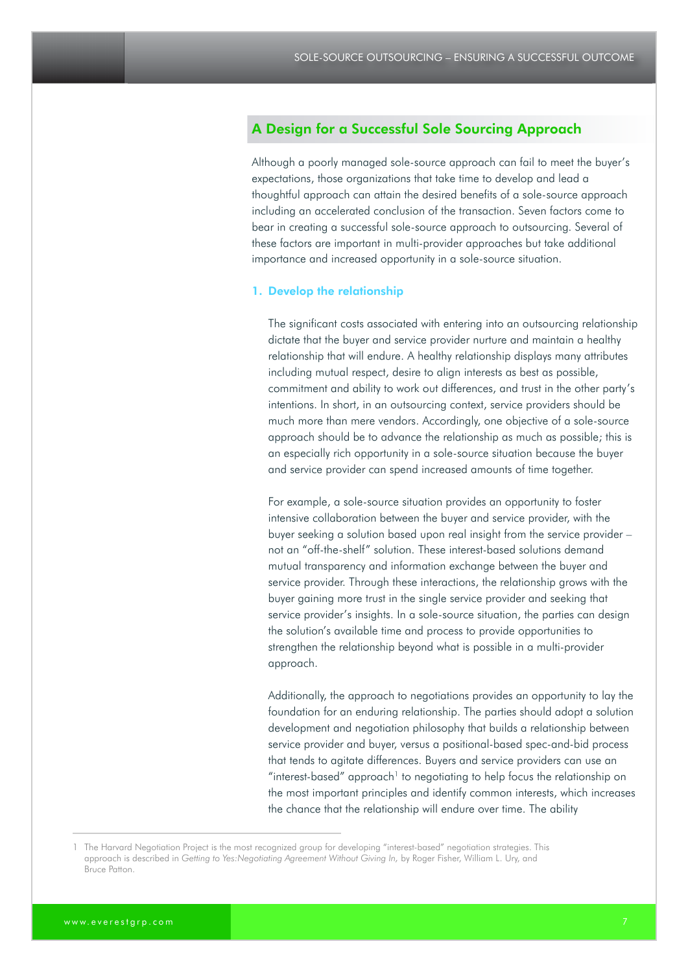# A Design for a Successful Sole Sourcing Approach

Although a poorly managed sole-source approach can fail to meet the buyer's expectations, those organizations that take time to develop and lead a thoughtful approach can attain the desired benefits of a sole-source approach including an accelerated conclusion of the transaction. Seven factors come to bear in creating a successful sole-source approach to outsourcing. Several of these factors are important in multi-provider approaches but take additional importance and increased opportunity in a sole-source situation.

#### 1. Develop the relationship

The significant costs associated with entering into an outsourcing relationship dictate that the buyer and service provider nurture and maintain a healthy relationship that will endure. A healthy relationship displays many attributes including mutual respect, desire to align interests as best as possible, commitment and ability to work out differences, and trust in the other party's intentions. In short, in an outsourcing context, service providers should be much more than mere vendors. Accordingly, one objective of a sole-source approach should be to advance the relationship as much as possible; this is an especially rich opportunity in a sole-source situation because the buyer and service provider can spend increased amounts of time together.

For example, a sole-source situation provides an opportunity to foster intensive collaboration between the buyer and service provider, with the buyer seeking a solution based upon real insight from the service provider – not an "off-the-shelf" solution. These interest-based solutions demand mutual transparency and information exchange between the buyer and service provider. Through these interactions, the relationship grows with the buyer gaining more trust in the single service provider and seeking that service provider's insights. In a sole-source situation, the parties can design the solution's available time and process to provide opportunities to strengthen the relationship beyond what is possible in a multi-provider approach.

Additionally, the approach to negotiations provides an opportunity to lay the foundation for an enduring relationship. The parties should adopt a solution development and negotiation philosophy that builds a relationship between service provider and buyer, versus a positional-based spec-and-bid process that tends to agitate differences. Buyers and service providers can use an "interest-based" approach<sup>1</sup> to negotiating to help focus the relationship on the most important principles and identify common interests, which increases the chance that the relationship will endure over time. The ability

<sup>1</sup> The Harvard Negotiation Project is the most recognized group for developing "interest-based" negotiation strategies. This approach is described in *Getting to Yes:Negotiating Agreement Without Giving In,* by Roger Fisher, William L. Ury, and Bruce Patton.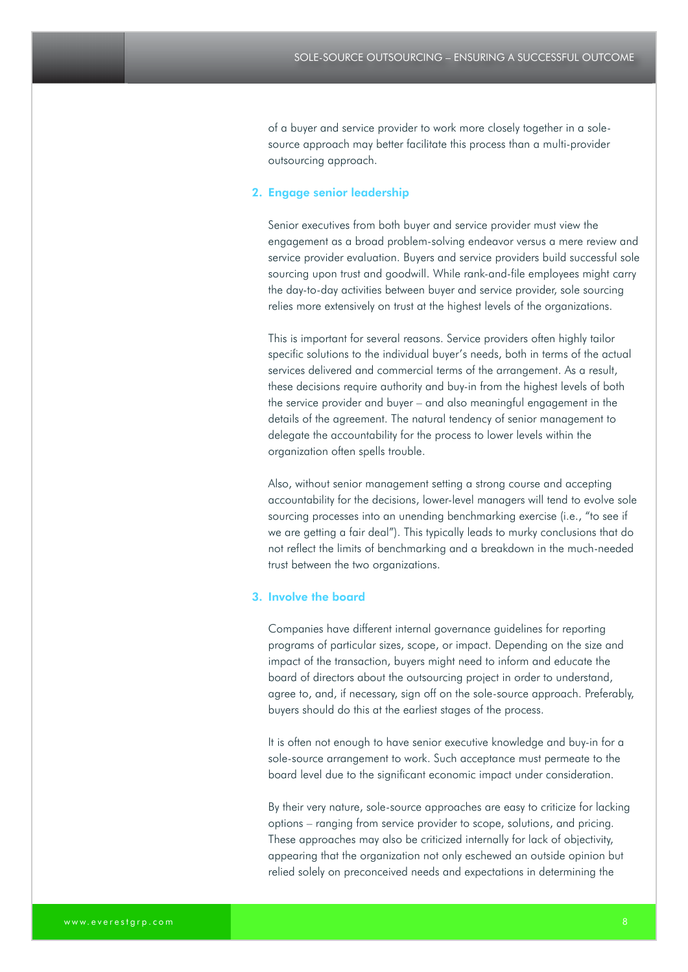of a buyer and service provider to work more closely together in a solesource approach may better facilitate this process than a multi-provider outsourcing approach.

#### 2. Engage senior leadership

Senior executives from both buyer and service provider must view the engagement as a broad problem-solving endeavor versus a mere review and service provider evaluation. Buyers and service providers build successful sole sourcing upon trust and goodwill. While rank-and-file employees might carry the day-to-day activities between buyer and service provider, sole sourcing relies more extensively on trust at the highest levels of the organizations.

This is important for several reasons. Service providers often highly tailor specific solutions to the individual buyer's needs, both in terms of the actual services delivered and commercial terms of the arrangement. As a result, these decisions require authority and buy-in from the highest levels of both the service provider and buyer – and also meaningful engagement in the details of the agreement. The natural tendency of senior management to delegate the accountability for the process to lower levels within the organization often spells trouble.

Also, without senior management setting a strong course and accepting accountability for the decisions, lower-level managers will tend to evolve sole sourcing processes into an unending benchmarking exercise (i.e., "to see if we are getting a fair deal"). This typically leads to murky conclusions that do not reflect the limits of benchmarking and a breakdown in the much-needed trust between the two organizations.

#### 3. Involve the board

Companies have different internal governance guidelines for reporting programs of particular sizes, scope, or impact. Depending on the size and impact of the transaction, buyers might need to inform and educate the board of directors about the outsourcing project in order to understand, agree to, and, if necessary, sign off on the sole-source approach. Preferably, buyers should do this at the earliest stages of the process.

It is often not enough to have senior executive knowledge and buy-in for a sole-source arrangement to work. Such acceptance must permeate to the board level due to the significant economic impact under consideration.

By their very nature, sole-source approaches are easy to criticize for lacking options – ranging from service provider to scope, solutions, and pricing. These approaches may also be criticized internally for lack of objectivity, appearing that the organization not only eschewed an outside opinion but relied solely on preconceived needs and expectations in determining the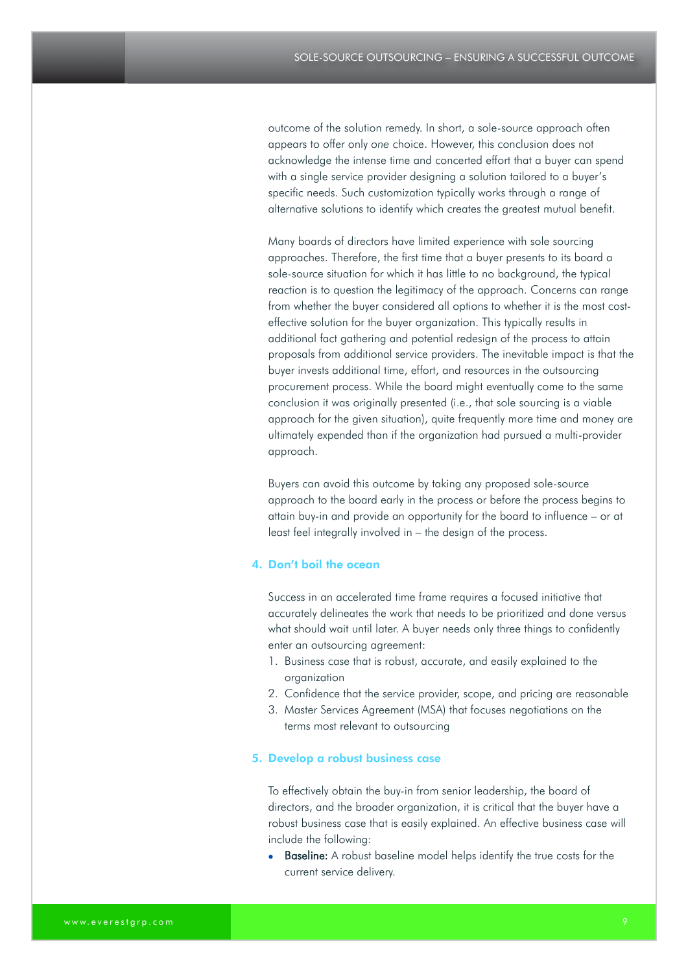outcome of the solution remedy. In short, a sole-source approach often appears to offer only *one* choice. However, this conclusion does not acknowledge the intense time and concerted effort that a buyer can spend with a single service provider designing a solution tailored to a buyer's specific needs. Such customization typically works through a range of alternative solutions to identify which creates the greatest mutual benefit.

Many boards of directors have limited experience with sole sourcing approaches. Therefore, the first time that a buyer presents to its board a sole-source situation for which it has little to no background, the typical reaction is to question the legitimacy of the approach. Concerns can range from whether the buyer considered all options to whether it is the most costeffective solution for the buyer organization. This typically results in additional fact gathering and potential redesign of the process to attain proposals from additional service providers. The inevitable impact is that the buyer invests additional time, effort, and resources in the outsourcing procurement process. While the board might eventually come to the same conclusion it was originally presented (i.e., that sole sourcing is a viable approach for the given situation), quite frequently more time and money are ultimately expended than if the organization had pursued a multi-provider approach.

Buyers can avoid this outcome by taking any proposed sole-source approach to the board early in the process or before the process begins to attain buy-in and provide an opportunity for the board to influence – or at least feel integrally involved in – the design of the process.

#### 4. Don't boil the ocean

Success in an accelerated time frame requires a focused initiative that accurately delineates the work that needs to be prioritized and done versus what should wait until later. A buyer needs only three things to confidently enter an outsourcing agreement:

- 1. Business case that is robust, accurate, and easily explained to the organization
- 2. Confidence that the service provider, scope, and pricing are reasonable
- 3. Master Services Agreement (MSA) that focuses negotiations on the terms most relevant to outsourcing

#### 5. Develop a robust business case

To effectively obtain the buy-in from senior leadership, the board of directors, and the broader organization, it is critical that the buyer have a robust business case that is easily explained. An effective business case will include the following:

**Baseline:** A robust baseline model helps identify the true costs for the current service delivery.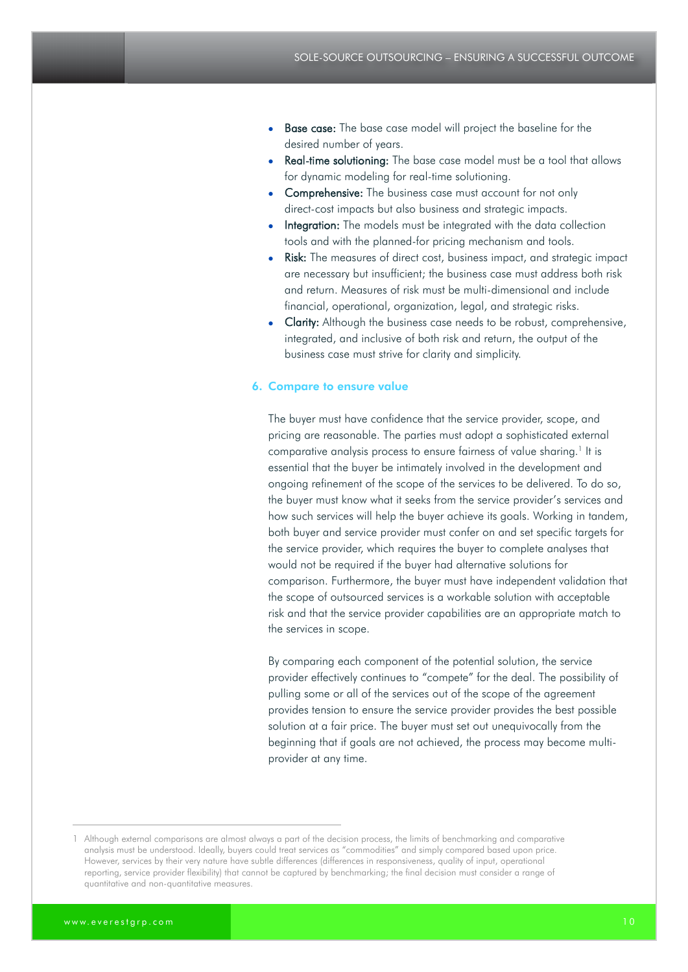- **Base case:** The base case model will project the baseline for the desired number of years.
- Real-time solutioning: The base case model must be a tool that allows for dynamic modeling for real-time solutioning.
- Comprehensive: The business case must account for not only direct-cost impacts but also business and strategic impacts.
- Integration: The models must be integrated with the data collection tools and with the planned-for pricing mechanism and tools.
- Risk: The measures of direct cost, business impact, and strategic impact are necessary but insufficient; the business case must address both risk and return. Measures of risk must be multi-dimensional and include financial, operational, organization, legal, and strategic risks.
- Clarity: Although the business case needs to be robust, comprehensive, integrated, and inclusive of both risk and return, the output of the business case must strive for clarity and simplicity.

#### 6. Compare to ensure value

The buyer must have confidence that the service provider, scope, and pricing are reasonable. The parties must adopt a sophisticated external comparative analysis process to ensure fairness of value sharing.<sup>1</sup> It is essential that the buyer be intimately involved in the development and ongoing refinement of the scope of the services to be delivered. To do so, the buyer must know what it seeks from the service provider's services and how such services will help the buyer achieve its goals. Working in tandem, both buyer and service provider must confer on and set specific targets for the service provider, which requires the buyer to complete analyses that would not be required if the buyer had alternative solutions for comparison. Furthermore, the buyer must have independent validation that the scope of outsourced services is a workable solution with acceptable risk and that the service provider capabilities are an appropriate match to the services in scope.

By comparing each component of the potential solution, the service provider effectively continues to "compete" for the deal. The possibility of pulling some or all of the services out of the scope of the agreement provides tension to ensure the service provider provides the best possible solution at a fair price. The buyer must set out unequivocally from the beginning that if goals are not achieved, the process may become multiprovider at any time.

<sup>1</sup> Although external comparisons are almost always a part of the decision process, the limits of benchmarking and comparative analysis must be understood. Ideally, buyers could treat services as "commodities" and simply compared based upon price. However, services by their very nature have subtle differences (differences in responsiveness, quality of input, operational reporting, service provider flexibility) that cannot be captured by benchmarking; the final decision must consider a range of quantitative and non-quantitative measures.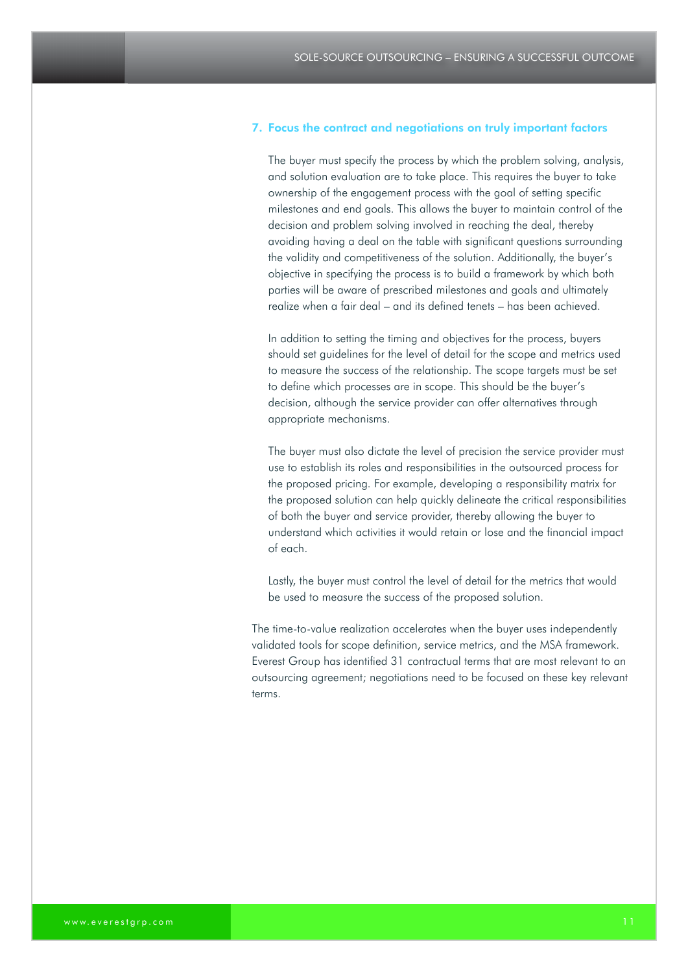#### 7. Focus the contract and negotiations on truly important factors

The buyer must specify the process by which the problem solving, analysis, and solution evaluation are to take place. This requires the buyer to take ownership of the engagement process with the goal of setting specific milestones and end goals. This allows the buyer to maintain control of the decision and problem solving involved in reaching the deal, thereby avoiding having a deal on the table with significant questions surrounding the validity and competitiveness of the solution. Additionally, the buyer's objective in specifying the process is to build a framework by which both parties will be aware of prescribed milestones and goals and ultimately realize when a fair deal – and its defined tenets – has been achieved.

In addition to setting the timing and objectives for the process, buyers should set guidelines for the level of detail for the scope and metrics used to measure the success of the relationship. The scope targets must be set to define which processes are in scope. This should be the buyer's decision, although the service provider can offer alternatives through appropriate mechanisms.

The buyer must also dictate the level of precision the service provider must use to establish its roles and responsibilities in the outsourced process for the proposed pricing. For example, developing a responsibility matrix for the proposed solution can help quickly delineate the critical responsibilities of both the buyer and service provider, thereby allowing the buyer to understand which activities it would retain or lose and the financial impact of each.

Lastly, the buyer must control the level of detail for the metrics that would be used to measure the success of the proposed solution.

The time-to-value realization accelerates when the buyer uses independently validated tools for scope definition, service metrics, and the MSA framework. Everest Group has identified 31 contractual terms that are most relevant to an outsourcing agreement; negotiations need to be focused on these key relevant terms.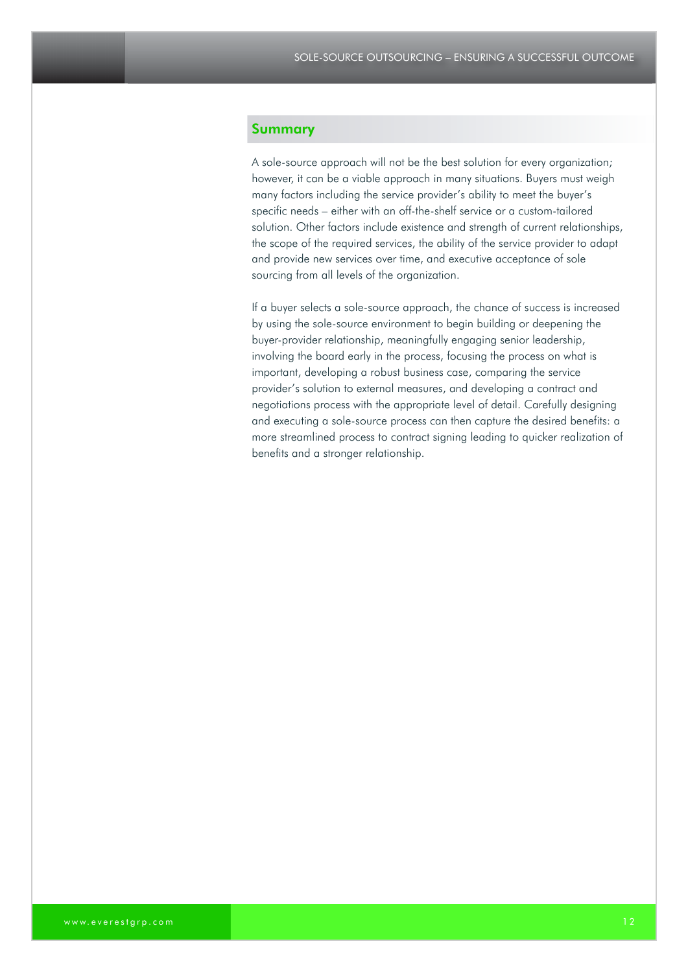### Summary

A sole-source approach will not be the best solution for every organization; however, it can be a viable approach in many situations. Buyers must weigh many factors including the service provider's ability to meet the buyer's specific needs – either with an off-the-shelf service or a custom-tailored solution. Other factors include existence and strength of current relationships, the scope of the required services, the ability of the service provider to adapt and provide new services over time, and executive acceptance of sole sourcing from all levels of the organization.

If a buyer selects a sole-source approach, the chance of success is increased by using the sole-source environment to begin building or deepening the buyer-provider relationship, meaningfully engaging senior leadership, involving the board early in the process, focusing the process on what is important, developing a robust business case, comparing the service provider's solution to external measures, and developing a contract and negotiations process with the appropriate level of detail. Carefully designing and executing a sole-source process can then capture the desired benefits: a more streamlined process to contract signing leading to quicker realization of benefits and a stronger relationship.